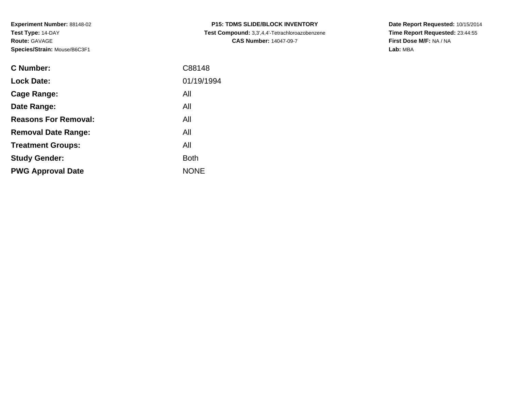**Experiment Number:** 88148-02**Test Type:** 14-DAY**Route:** GAVAGE**Species/Strain:** Mouse/B6C3F1

| <b>C Number:</b>            | C88148      |
|-----------------------------|-------------|
| <b>Lock Date:</b>           | 01/19/1994  |
| Cage Range:                 | All         |
| Date Range:                 | All         |
| <b>Reasons For Removal:</b> | All         |
| <b>Removal Date Range:</b>  | All         |
| <b>Treatment Groups:</b>    | All         |
| <b>Study Gender:</b>        | <b>Both</b> |
| <b>PWG Approval Date</b>    | <b>NONE</b> |
|                             |             |

**P15: TDMS SLIDE/BLOCK INVENTORY Test Compound:** 3,3',4,4'-Tetrachloroazobenzene**CAS Number:** 14047-09-7

**Date Report Requested:** 10/15/2014 **Time Report Requested:** 23:44:55**First Dose M/F:** NA / NA**Lab:** MBA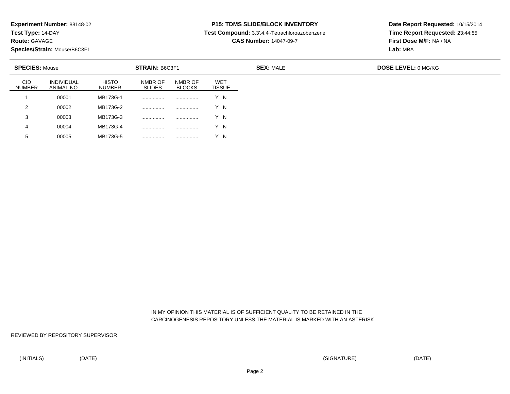**Test Type:** 14-DAY

**Route:** GAVAGE

**Species/Strain:** Mouse/B6C3F1

<sup>00005</sup> MB173G-5 ................ ................ Y N

### **P15: TDMS SLIDE/BLOCK INVENTORY**

**Test Compound:** 3,3',4,4'-Tetrachloroazobenzene

**CAS Number:** 14047-09-7

**Date Report Requested:** 10/15/2014**Time Report Requested:** 23:44:55**First Dose M/F:** NA / NA**Lab:** MBA

| <b>SPECIES: Mouse</b> |                                 |                               | <b>STRAIN: B6C3F1</b>    |                          |                             | <b>SEX: MALE</b> | <b>DOSE LEVEL: 0 MG/KG</b> |
|-----------------------|---------------------------------|-------------------------------|--------------------------|--------------------------|-----------------------------|------------------|----------------------------|
| <b>CID</b><br>NUMBER  | <b>INDIVIDUAL</b><br>ANIMAL NO. | <b>HISTO</b><br><b>NUMBER</b> | NMBR OF<br><b>SLIDES</b> | NMBR OF<br><b>BLOCKS</b> | <b>WET</b><br><b>TISSUE</b> |                  |                            |
|                       | 00001                           | MB173G-1                      | .                        |                          | Y N                         |                  |                            |
| 2                     | 00002                           | MB173G-2                      | .                        |                          | Y N                         |                  |                            |
| 3                     | 00003                           | MB173G-3                      | .                        |                          | Y N                         |                  |                            |
| 4                     | 00004                           | MB173G-4                      | .                        |                          | Y N                         |                  |                            |
| G.                    | 00005                           | MB173G-5                      | .                        |                          | N                           |                  |                            |

 IN MY OPINION THIS MATERIAL IS OF SUFFICIENT QUALITY TO BE RETAINED IN THECARCINOGENESIS REPOSITORY UNLESS THE MATERIAL IS MARKED WITH AN ASTERISK

REVIEWED BY REPOSITORY SUPERVISOR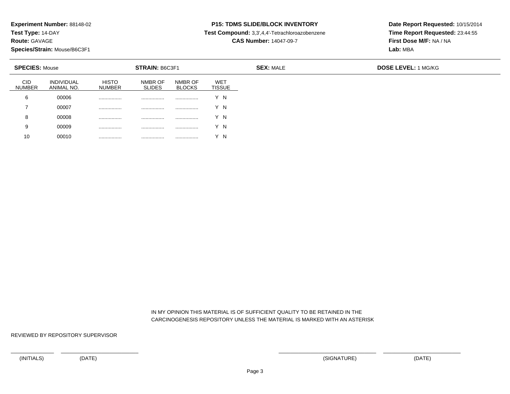**Test Type:** 14-DAY

**Route:** GAVAGE

**Species/Strain:** Mouse/B6C3F1

<sup>00010</sup> ................ ................ ................ Y N

# **P15: TDMS SLIDE/BLOCK INVENTORY**

**Test Compound:** 3,3',4,4'-Tetrachloroazobenzene

**CAS Number:** 14047-09-7

**Date Report Requested:** 10/15/2014**Time Report Requested:** 23:44:55**First Dose M/F:** NA / NA**Lab:** MBA

| <b>SPECIES: Mouse</b> |                                 |                               | STRAIN: B6C3F1           |                          |                                  | <b>SEX: MALE</b> | <b>DOSE LEVEL: 1 MG/KG</b> |
|-----------------------|---------------------------------|-------------------------------|--------------------------|--------------------------|----------------------------------|------------------|----------------------------|
| <b>CID</b><br>NUMBER  | <b>INDIVIDUAL</b><br>ANIMAL NO. | <b>HISTO</b><br><b>NUMBER</b> | NMBR OF<br><b>SLIDES</b> | NMBR OF<br><b>BLOCKS</b> | WE <sub>1</sub><br><b>TISSUE</b> |                  |                            |
| 6                     | 00006                           | .                             | .                        | .                        | Y N                              |                  |                            |
|                       | 00007                           | .                             | .                        | .                        | Y N                              |                  |                            |
| 8                     | 00008                           | .                             | .                        | .                        | Y N                              |                  |                            |
| 9                     | 00009                           | .                             | .                        | .                        | Y N                              |                  |                            |
| 10                    | 00010                           | .                             | .                        | .                        |                                  |                  |                            |

 IN MY OPINION THIS MATERIAL IS OF SUFFICIENT QUALITY TO BE RETAINED IN THECARCINOGENESIS REPOSITORY UNLESS THE MATERIAL IS MARKED WITH AN ASTERISK

REVIEWED BY REPOSITORY SUPERVISOR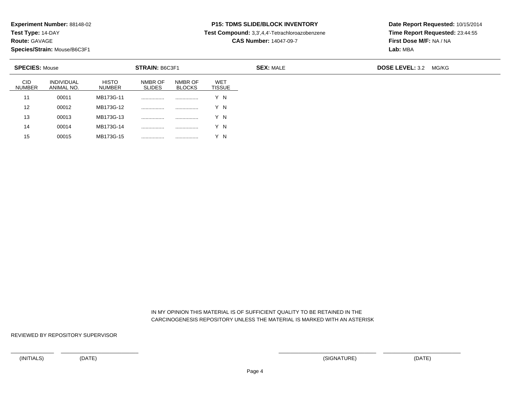**Test Type:** 14-DAY

**Route:** GAVAGE

15

**Species/Strain:** Mouse/B6C3F1

<sup>00015</sup> MB173G-15 ................ ................ Y N

### **P15: TDMS SLIDE/BLOCK INVENTORY**

**Test Compound:** 3,3',4,4'-Tetrachloroazobenzene

**CAS Number:** 14047-09-7

**Date Report Requested:** 10/15/2014**Time Report Requested:** 23:44:55**First Dose M/F:** NA / NA**Lab:** MBA

| <b>SPECIES: Mouse</b>       |                                 |                               | STRAIN: B6C3F1           |                          |                             | <b>SEX: MALE</b> | <b>DOSE LEVEL: 3.2</b> | MG/KG |
|-----------------------------|---------------------------------|-------------------------------|--------------------------|--------------------------|-----------------------------|------------------|------------------------|-------|
| <b>CID</b><br><b>NUMBER</b> | <b>INDIVIDUAL</b><br>ANIMAL NO. | <b>HISTO</b><br><b>NUMBER</b> | NMBR OF<br><b>SLIDES</b> | NMBR OF<br><b>BLOCKS</b> | <b>WET</b><br><b>TISSUE</b> |                  |                        |       |
| 11                          | 00011                           | MB173G-11                     |                          | .                        | Y N                         |                  |                        |       |
| 12                          | 00012                           | MB173G-12                     | .                        |                          | Y N                         |                  |                        |       |
| 13                          | 00013                           | MB173G-13                     |                          | .                        | Y N                         |                  |                        |       |
| 14                          | 00014                           | MB173G-14                     |                          | .                        | Y N                         |                  |                        |       |

 IN MY OPINION THIS MATERIAL IS OF SUFFICIENT QUALITY TO BE RETAINED IN THECARCINOGENESIS REPOSITORY UNLESS THE MATERIAL IS MARKED WITH AN ASTERISK

REVIEWED BY REPOSITORY SUPERVISOR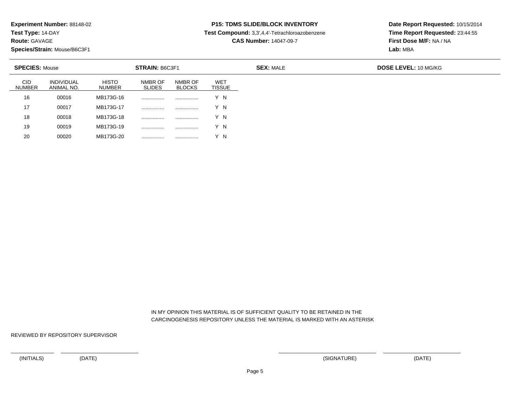**Test Type:** 14-DAY

**Route:** GAVAGE

20

**Species/Strain:** Mouse/B6C3F1

<sup>00020</sup> MB173G-20 ................ ................ Y N

# **P15: TDMS SLIDE/BLOCK INVENTORY**

**Test Compound:** 3,3',4,4'-Tetrachloroazobenzene

**CAS Number:** 14047-09-7

**Date Report Requested:** 10/15/2014**Time Report Requested:** 23:44:55**First Dose M/F:** NA / NA**Lab:** MBA

| <b>SPECIES: Mouse</b>       |                                 |                               | STRAIN: B6C3F1           |                          |                             |
|-----------------------------|---------------------------------|-------------------------------|--------------------------|--------------------------|-----------------------------|
| <b>CID</b><br><b>NUMBER</b> | <b>INDIVIDUAL</b><br>ANIMAL NO. | <b>HISTO</b><br><b>NUMBER</b> | NMBR OF<br><b>SLIDES</b> | NMBR OF<br><b>BLOCKS</b> | <b>WET</b><br><b>TISSUE</b> |
| 16                          | 00016                           | MB173G-16                     | .                        |                          | Y N                         |
| 17                          | 00017                           | MB173G-17                     |                          |                          | Y N                         |
| 18                          | 00018                           | MB173G-18                     | .                        |                          | Y N                         |
| 19                          | 00019                           | MB173G-19                     | .                        |                          | Y N                         |

 IN MY OPINION THIS MATERIAL IS OF SUFFICIENT QUALITY TO BE RETAINED IN THECARCINOGENESIS REPOSITORY UNLESS THE MATERIAL IS MARKED WITH AN ASTERISK

REVIEWED BY REPOSITORY SUPERVISOR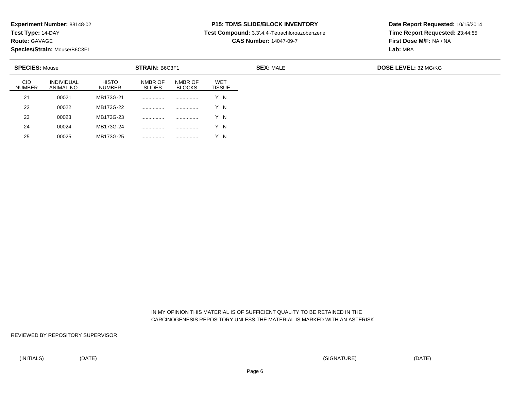**Test Type:** 14-DAY

**Route:** GAVAGE

25

**Species/Strain:** Mouse/B6C3F1

<sup>00025</sup> MB173G-25 ................ ................ Y N

# **P15: TDMS SLIDE/BLOCK INVENTORY**

**Test Compound:** 3,3',4,4'-Tetrachloroazobenzene

**CAS Number:** 14047-09-7

**Date Report Requested:** 10/15/2014**Time Report Requested:** 23:44:55**First Dose M/F:** NA / NA**Lab:** MBA

| <b>SPECIES: Mouse</b> |                                 |                        | <b>STRAIN: B6C3F1</b>    |                          |                             |
|-----------------------|---------------------------------|------------------------|--------------------------|--------------------------|-----------------------------|
| <b>CID</b><br>NUMBER  | <b>INDIVIDUAL</b><br>ANIMAL NO. | <b>HISTO</b><br>NUMBER | NMBR OF<br><b>SLIDES</b> | NMBR OF<br><b>BLOCKS</b> | <b>WET</b><br><b>TISSUE</b> |
| 21                    | 00021                           | MB173G-21              | .                        |                          | Y N                         |
| 22                    | 00022                           | MB173G-22              |                          |                          | Y N                         |
| 23                    | 00023                           | MB173G-23              |                          |                          | Y N                         |
| 24                    | 00024                           | MB173G-24              |                          |                          | Y N                         |

 IN MY OPINION THIS MATERIAL IS OF SUFFICIENT QUALITY TO BE RETAINED IN THECARCINOGENESIS REPOSITORY UNLESS THE MATERIAL IS MARKED WITH AN ASTERISK

REVIEWED BY REPOSITORY SUPERVISOR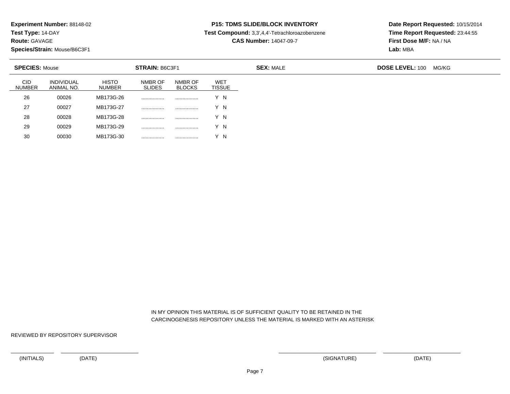**Test Type:** 14-DAY

**Route:** GAVAGE

30

**Species/Strain:** Mouse/B6C3F1

<sup>00030</sup> MB173G-30 ................ ................ Y N

# **P15: TDMS SLIDE/BLOCK INVENTORY**

**Test Compound:** 3,3',4,4'-Tetrachloroazobenzene

**CAS Number:** 14047-09-7

**Date Report Requested:** 10/15/2014**Time Report Requested:** 23:44:55**First Dose M/F:** NA / NA**Lab:** MBA

| <b>SPECIES: Mouse</b>       |                                 |                               | <b>STRAIN: B6C3F1</b>    |                          |                             | <b>SEX: MALE</b> | <b>DOSE LEVEL: 100</b> | MG/KG |
|-----------------------------|---------------------------------|-------------------------------|--------------------------|--------------------------|-----------------------------|------------------|------------------------|-------|
| <b>CID</b><br><b>NUMBER</b> | <b>INDIVIDUAL</b><br>ANIMAL NO. | <b>HISTO</b><br><b>NUMBER</b> | NMBR OF<br><b>SLIDES</b> | NMBR OF<br><b>BLOCKS</b> | <b>WET</b><br><b>TISSUE</b> |                  |                        |       |
| 26                          | 00026                           | MB173G-26                     |                          | .                        | Y N                         |                  |                        |       |
| 27                          | 00027                           | MB173G-27                     |                          | .                        | Y N                         |                  |                        |       |
| 28                          | 00028                           | MB173G-28                     |                          |                          | Y N                         |                  |                        |       |
| 29                          | 00029                           | MB173G-29                     | .                        | .                        | Y N                         |                  |                        |       |

 IN MY OPINION THIS MATERIAL IS OF SUFFICIENT QUALITY TO BE RETAINED IN THECARCINOGENESIS REPOSITORY UNLESS THE MATERIAL IS MARKED WITH AN ASTERISK

REVIEWED BY REPOSITORY SUPERVISOR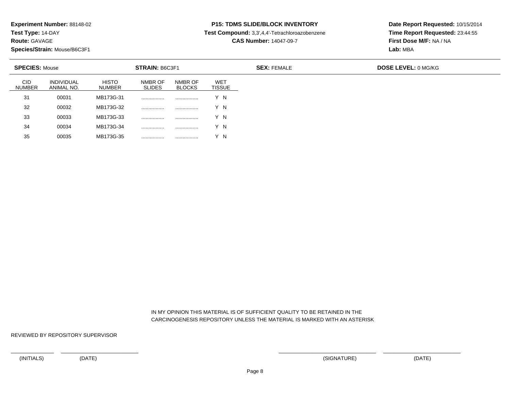**Test Type:** 14-DAY

**Route:** GAVAGE

35

**Species/Strain:** Mouse/B6C3F1

<sup>00035</sup> MB173G-35 ................ ................ Y N

# **P15: TDMS SLIDE/BLOCK INVENTORY**

**Test Compound:** 3,3',4,4'-Tetrachloroazobenzene

**CAS Number:** 14047-09-7

**Date Report Requested:** 10/15/2014**Time Report Requested:** 23:44:55**First Dose M/F:** NA / NA**Lab:** MBA

| <b>SPECIES: Mouse</b>       |                                 |                               | <b>STRAIN: B6C3F1</b>    |                          |                             |
|-----------------------------|---------------------------------|-------------------------------|--------------------------|--------------------------|-----------------------------|
| <b>CID</b><br><b>NUMBER</b> | <b>INDIVIDUAL</b><br>ANIMAL NO. | <b>HISTO</b><br><b>NUMBER</b> | NMBR OF<br><b>SLIDES</b> | NMBR OF<br><b>BLOCKS</b> | <b>WET</b><br><b>TISSUE</b> |
| 31                          | 00031                           | MB173G-31                     | .                        |                          | Y N                         |
| 32                          | 00032                           | MB173G-32                     | .                        |                          | Y N                         |
| 33                          | 00033                           | MB173G-33                     | .                        |                          | Y N                         |
| 34                          | 00034                           | MB173G-34                     | .                        |                          | Y N                         |

 IN MY OPINION THIS MATERIAL IS OF SUFFICIENT QUALITY TO BE RETAINED IN THECARCINOGENESIS REPOSITORY UNLESS THE MATERIAL IS MARKED WITH AN ASTERISK

REVIEWED BY REPOSITORY SUPERVISOR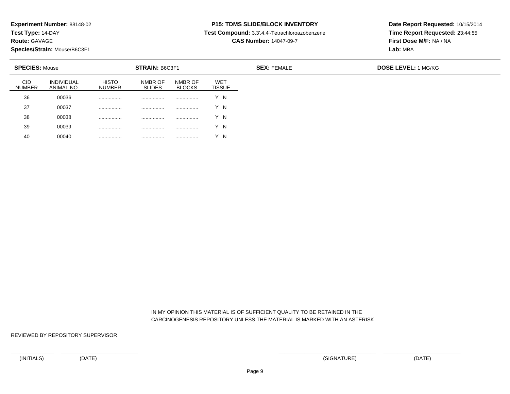**Test Type:** 14-DAY

**Route:** GAVAGE

**Species/Strain:** Mouse/B6C3F1

<sup>00040</sup> ................ ................ ................ Y N

# **P15: TDMS SLIDE/BLOCK INVENTORY**

**Test Compound:** 3,3',4,4'-Tetrachloroazobenzene

**CAS Number:** 14047-09-7

**Date Report Requested:** 10/15/2014**Time Report Requested:** 23:44:55**First Dose M/F:** NA / NA**Lab:** MBA

| <b>SPECIES: Mouse</b> |                          |                        | STRAIN: B6C3F1           |                          |                             | <b>SEX: FEMALE</b> | <b>DOSE LEVEL: 1 MG/KG</b> |
|-----------------------|--------------------------|------------------------|--------------------------|--------------------------|-----------------------------|--------------------|----------------------------|
| <b>CID</b><br>NUMBER  | INDIVIDUAL<br>ANIMAL NO. | <b>HISTO</b><br>NUMBER | NMBR OF<br><b>SLIDES</b> | NMBR OF<br><b>BLOCKS</b> | <b>WET</b><br><b>TISSUE</b> |                    |                            |
| 36                    | 00036                    |                        | .                        |                          | Y N                         |                    |                            |
| 37                    | 00037                    | .                      | .                        | .                        | Y N                         |                    |                            |
| 38                    | 00038                    |                        | .                        |                          | Y N                         |                    |                            |
| 39                    | 00039                    |                        |                          | .                        | Y N                         |                    |                            |
| 40                    | 00040                    | .                      | .                        | .                        | - N                         |                    |                            |

 IN MY OPINION THIS MATERIAL IS OF SUFFICIENT QUALITY TO BE RETAINED IN THECARCINOGENESIS REPOSITORY UNLESS THE MATERIAL IS MARKED WITH AN ASTERISK

REVIEWED BY REPOSITORY SUPERVISOR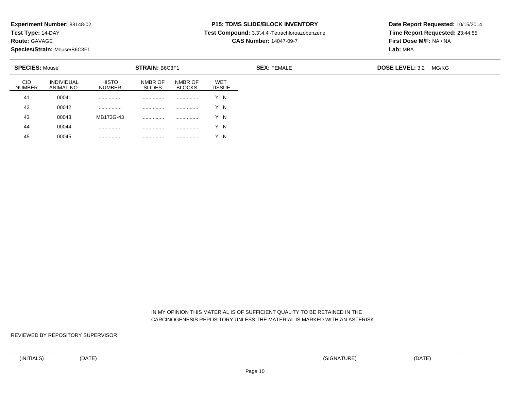**Test Type:** 14-DAY

**Route:** GAVAGE

45

**Species/Strain:** Mouse/B6C3F1

<sup>00045</sup> ................ ................ ................ Y N

### **P15: TDMS SLIDE/BLOCK INVENTORY**

**Test Compound:** 3,3',4,4'-Tetrachloroazobenzene

**CAS Number:** 14047-09-7

**Date Report Requested:** 10/15/2014**Time Report Requested:** 23:44:55**First Dose M/F:** NA / NA**Lab:** MBA

| <b>SPECIES: Mouse</b> |                                 |                        | <b>STRAIN: B6C3F1</b>    |                          |                             | <b>SEX: FEMALE</b> | <b>DOSE LEVEL: 3.2</b><br>MG/KG |
|-----------------------|---------------------------------|------------------------|--------------------------|--------------------------|-----------------------------|--------------------|---------------------------------|
| CID<br><b>NUMBER</b>  | <b>INDIVIDUAL</b><br>ANIMAL NO. | <b>HISTO</b><br>NUMBER | NMBR OF<br><b>SLIDES</b> | NMBR OF<br><b>BLOCKS</b> | <b>WET</b><br><b>TISSUE</b> |                    |                                 |
| 41                    | 00041                           |                        | .                        | .                        | Y N                         |                    |                                 |
| 42                    | 00042                           | .                      |                          |                          | Y N                         |                    |                                 |
| 43                    | 00043                           | MB173G-43              | .                        |                          | Y N                         |                    |                                 |
| 44                    | 00044                           |                        |                          |                          | Y N                         |                    |                                 |

 IN MY OPINION THIS MATERIAL IS OF SUFFICIENT QUALITY TO BE RETAINED IN THECARCINOGENESIS REPOSITORY UNLESS THE MATERIAL IS MARKED WITH AN ASTERISK

REVIEWED BY REPOSITORY SUPERVISOR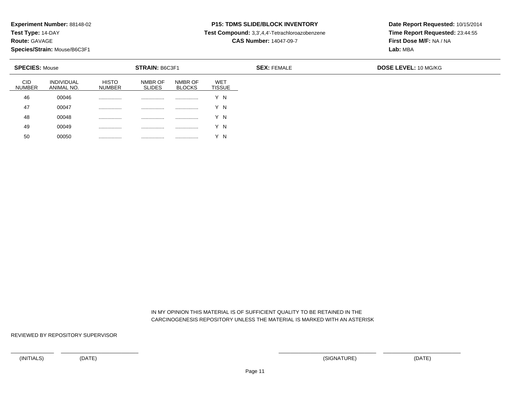**Test Type:** 14-DAY

**Route:** GAVAGE

**Species/Strain:** Mouse/B6C3F1

<sup>00050</sup> ................ ................ ................ Y N

# **P15: TDMS SLIDE/BLOCK INVENTORY**

**Test Compound:** 3,3',4,4'-Tetrachloroazobenzene

**CAS Number:** 14047-09-7

**Date Report Requested:** 10/15/2014**Time Report Requested:** 23:44:55**First Dose M/F:** NA / NA**Lab:** MBA

| <b>SPECIES: Mouse</b> |                                 |                        | STRAIN: B6C3F1           |                          |                             | <b>SEX: FEMALE</b> | <b>DOSE LEVEL: 10 MG/KG</b> |
|-----------------------|---------------------------------|------------------------|--------------------------|--------------------------|-----------------------------|--------------------|-----------------------------|
| <b>CID</b><br>NUMBER  | <b>INDIVIDUAL</b><br>ANIMAL NO. | <b>HISTO</b><br>NUMBER | NMBR OF<br><b>SLIDES</b> | NMBR OF<br><b>BLOCKS</b> | <b>WET</b><br><b>TISSUE</b> |                    |                             |
| 46                    | 00046                           |                        | .                        |                          | Y N                         |                    |                             |
| 47                    | 00047                           |                        | .                        |                          | Y N                         |                    |                             |
| 48                    | 00048                           |                        | .                        | .                        | Y N                         |                    |                             |
| 49                    | 00049                           |                        | .                        | .                        | Y N                         |                    |                             |
| 50                    | 00050                           | .                      | .                        | .                        | - N                         |                    |                             |

 IN MY OPINION THIS MATERIAL IS OF SUFFICIENT QUALITY TO BE RETAINED IN THECARCINOGENESIS REPOSITORY UNLESS THE MATERIAL IS MARKED WITH AN ASTERISK

REVIEWED BY REPOSITORY SUPERVISOR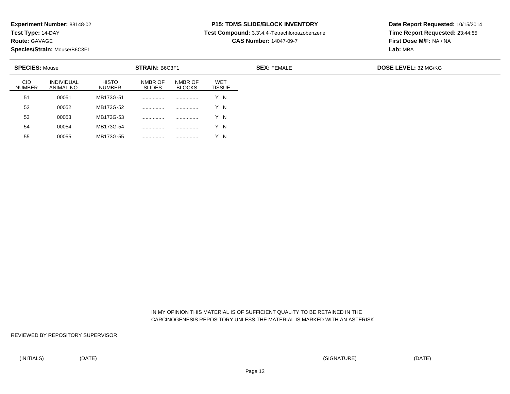**Test Type:** 14-DAY

**Route:** GAVAGE

55

**Species/Strain:** Mouse/B6C3F1

<sup>00055</sup> MB173G-55 ................ ................ Y N

# **P15: TDMS SLIDE/BLOCK INVENTORY**

**Test Compound:** 3,3',4,4'-Tetrachloroazobenzene

**CAS Number:** 14047-09-7

**Date Report Requested:** 10/15/2014**Time Report Requested:** 23:44:55**First Dose M/F:** NA / NA**Lab:** MBA

| <b>SPECIES: Mouse</b>       |                                 |                               | STRAIN: B6C3F1           |                          |                             |
|-----------------------------|---------------------------------|-------------------------------|--------------------------|--------------------------|-----------------------------|
| <b>CID</b><br><b>NUMBER</b> | <b>INDIVIDUAL</b><br>ANIMAL NO. | <b>HISTO</b><br><b>NUMBER</b> | NMBR OF<br><b>SLIDES</b> | NMBR OF<br><b>BLOCKS</b> | <b>WET</b><br><b>TISSUE</b> |
| 51                          | 00051                           | MB173G-51                     | .                        |                          | Y N                         |
| 52                          | 00052                           | MB173G-52                     | .                        |                          | Y N                         |
| 53                          | 00053                           | MB173G-53                     | .                        |                          | Y N                         |
| 54                          | 00054                           | MB173G-54                     | .                        |                          | Y N                         |

 IN MY OPINION THIS MATERIAL IS OF SUFFICIENT QUALITY TO BE RETAINED IN THECARCINOGENESIS REPOSITORY UNLESS THE MATERIAL IS MARKED WITH AN ASTERISK

REVIEWED BY REPOSITORY SUPERVISOR